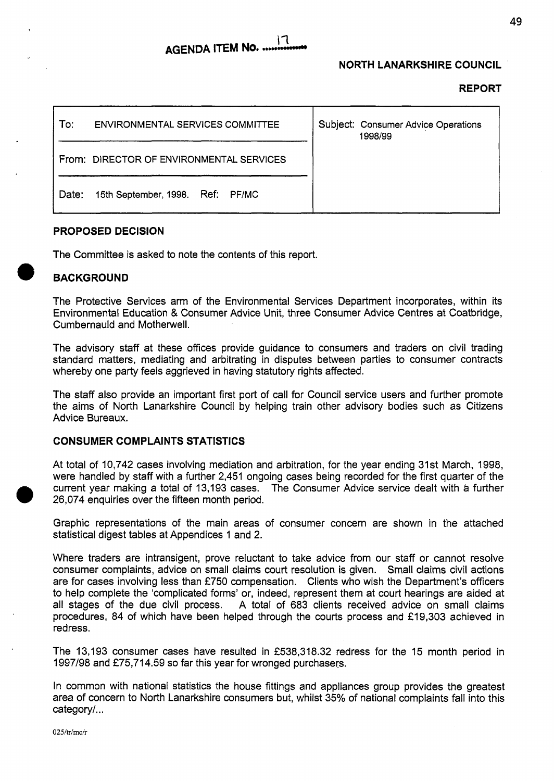#### $\mathsf{I}$ **AGENDA ITEM No. ..**

### **NORTH LANARKSHIRE COUNCIL**

#### **REPORT**

| To∶<br><b>ENVIRONMENTAL SERVICES COMMITTEE</b> | Subject: Consumer Advice Operations<br>1998/99 |
|------------------------------------------------|------------------------------------------------|
| From: DIRECTOR OF ENVIRONMENTAL SERVICES       |                                                |
| 15th September, 1998. Ref: PF/MC<br>Date:      |                                                |

#### **PROPOSED DECISION**

The Committee is asked to note the contents of this report.

### *0* **BACKGROUND**

The Protective Services arm of the Environmental Services Department incorporates, within its Environmental Education & Consumer Advice Unit, three Consumer Advice Centres at Coatbridge, Cumbernauld and Motherwell.

The advisory staff at these offices provide guidance to consumers and traders on civil trading standard matters, mediating and arbitrating in disputes between parties to consumer contracts whereby one party feels aggrieved in having statutory rights affected.

The staff also provide an important first port of call for Council service users and further promote the aims of North Lanarkshire Council by helping train other advisory bodies such as Citizens Advice Bureaux.

### **CONSUMER COMPLAINTS STATISTICS**

At total of 10,742 cases involving mediation and arbitration, for the year ending 31st March, 1998, were handled by staff with a further 2,451 ongoing cases being recorded for the first quarter of the current year making a total of 13,193 cases. The Consumer Advice service dealt with **a** further *0* 26,074 enquiries over the fifteen month period.

Graphic representations of the main areas of consumer concern are shown in the attached statistical digest tables at Appendices I and 2.

Where traders are intransigent, prove reluctant to take advice from our staff or cannot resolve consumer complaints, advice on small claims court resolution is given. Small claims civil actions are for cases involving less than €750 compensation. Clients who wish the Department's officers to help complete the 'complicated forms' or, indeed, represent them at court hearings are aided at all stages of the due civil process. A total of 683 clients received advice on small claims procedures, 84 of which have been helped through the courts process and €19,303 achieved in redress.

The 13,193 consumer cases have resulted in €538,318.32 redress for the 15 month period in 1997/98 and €75,714.59 so far this year for wronged purchasers.

In common with national statistics the house fittings and appliances group provides the greatest area of concern to North Lanarkshire consumers but, whilst 35% of national complaints fall into this category/...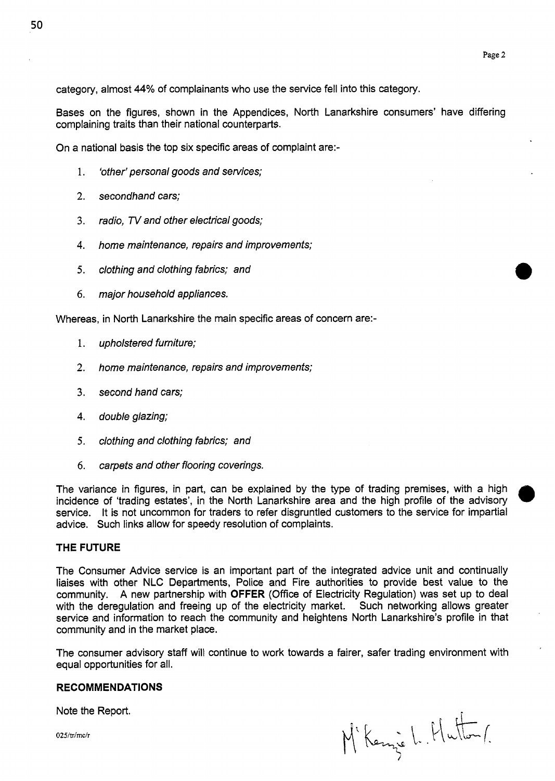category, almost **44%** of complainants who use the service fell into this category,

Bases on the figures, shown in the Appendices, North Lanarkshire consumers' have differing complaining traits than their national counterparts.

On a national basis the top six specific areas of complaint are:-

- 1. *'other' personal goods and services;*
- *2. secondhand cars;*
- 3. *radio, N and other electrical goods;*
- 4. *home maintenance, repairs and improvements;*
- *5. clothing and clothing fabrics; and*
- *6. major household appliances.*

Whereas, in North Lanarkshire the main specific areas of concern are:-

- 1. *upholstered furniture;*
- **2.** *home maintenance, repairs and improvements;*
- *3. second hand cars;*
- **4.** *double glazing;*
- *5. clothing and clothing fabrics; and*
- *6. carpets and other flooring coverings.*

The variance in figures, in part, can be explained by the type of trading premises, with a high incidence of 'trading estates', in the North Lanarkshire area and the high profile of the advisory service. It **is** not uncommon for traders to refer disgruntled customers to the service for impartial advice. Such links allow for speedy resolution of complaints.

#### **THE FUTURE**

The Consumer Advice service is an important part of the integrated advice unit and continually liaises with other NLC Departments, Police and Fire authorities to provide best value to the community. A new partnership with **OFFER** (Office of Electricity Regulation) was set up to deal with the deregulation and freeing up of the electricity market. Such networking allows greater service and information to reach the community and heightens North Lanarkshire's profile in that community and in the market place.

The consumer advisory staff will continue to work towards a fairer, safer trading environment with equal opportunities for all.

#### **RECOMMENDATIONS**

Note the Report.

 $025/\text{tr}/\text{mc}/\text{r}$ 

M'Kenie L. Hutton/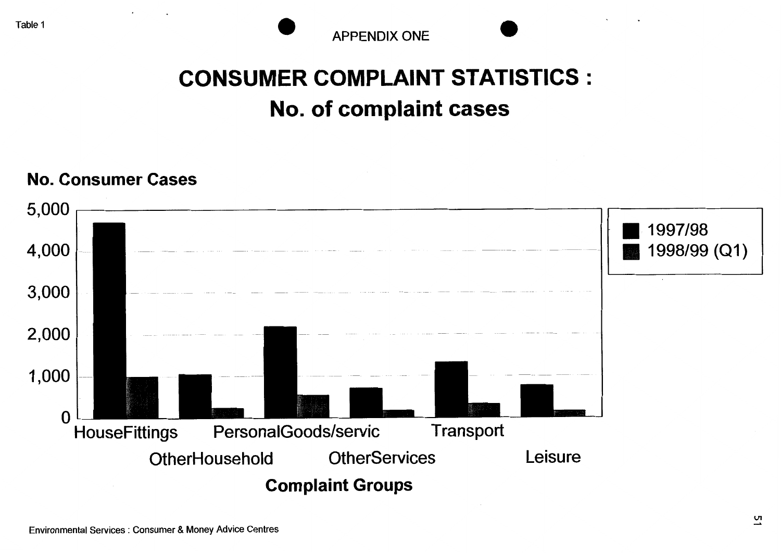### **CONSUMER COMPLAINT STATISTICS** : **No. of complaint cases**

### **No. Consumer Cases**

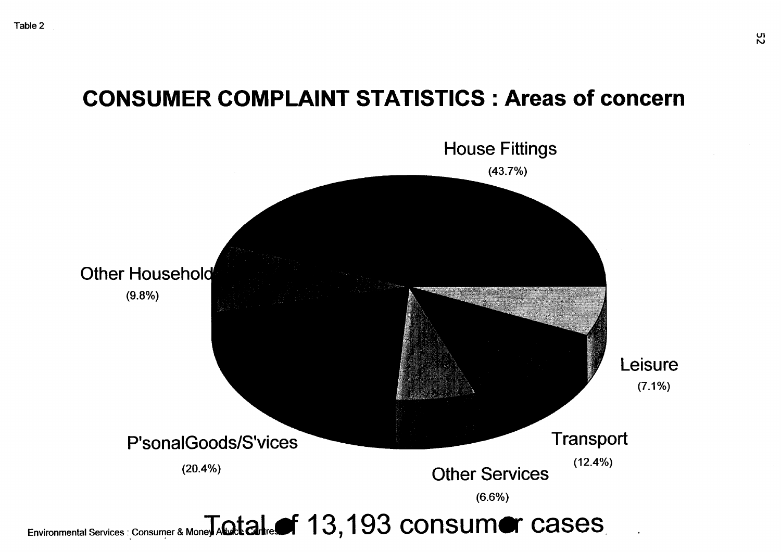### **CONSUMER COMPLAINT STATISTICS** : **Areas of concern**



Environmental Services : Consumer & Mone JA Qtalre f 13,193 consum er cases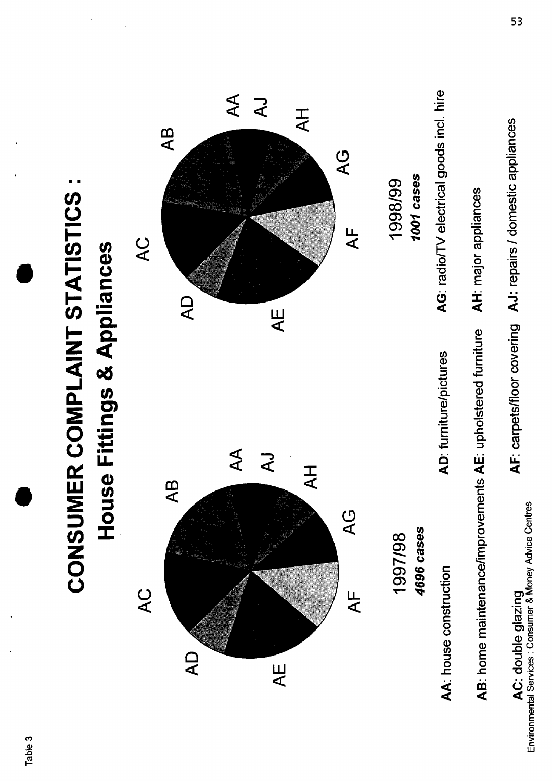

**53**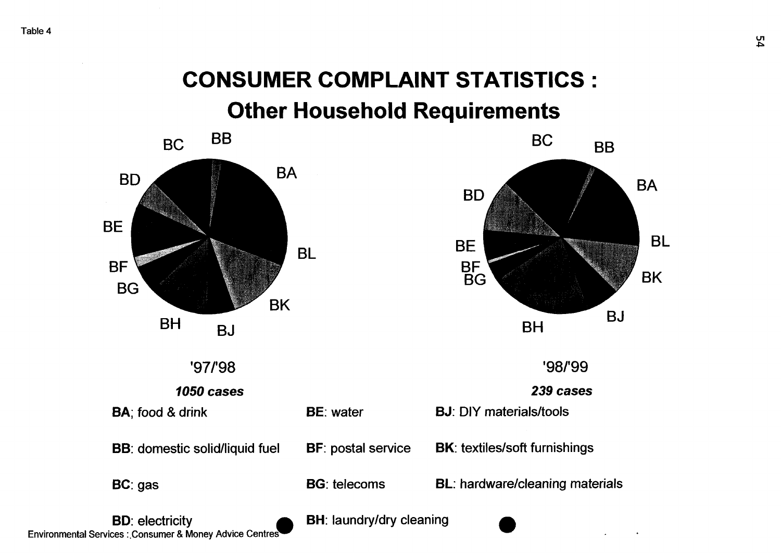### **CONSUMER COMPLAINT STATISTICS** : **Other Household Requirements**

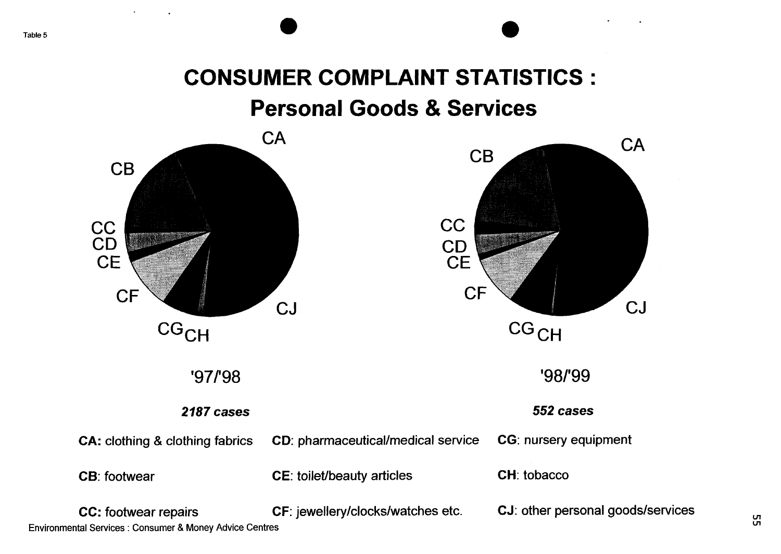## **CONSUMER COMPLAINT STATISTICS** : **Personal Goods** & **Services**



**VI** Environmental Services : Consumer & Money Advice Centres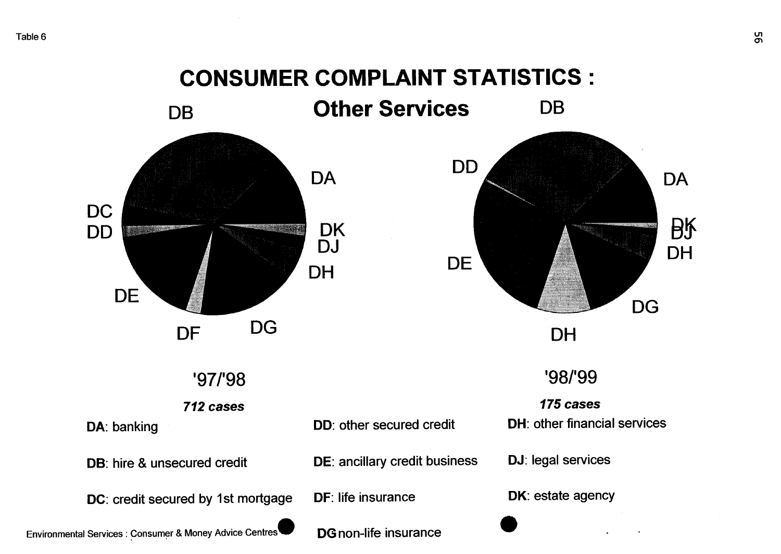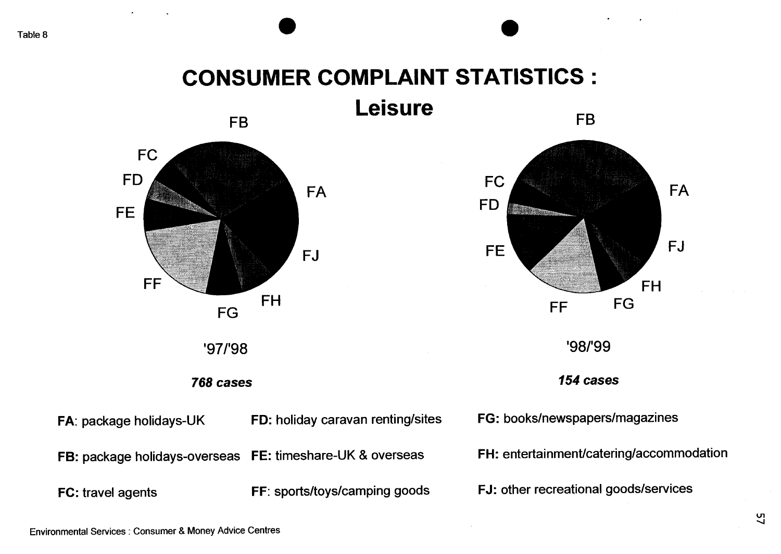# **CONSUMER COMPLAINT STATISTICS** :

*0 0*